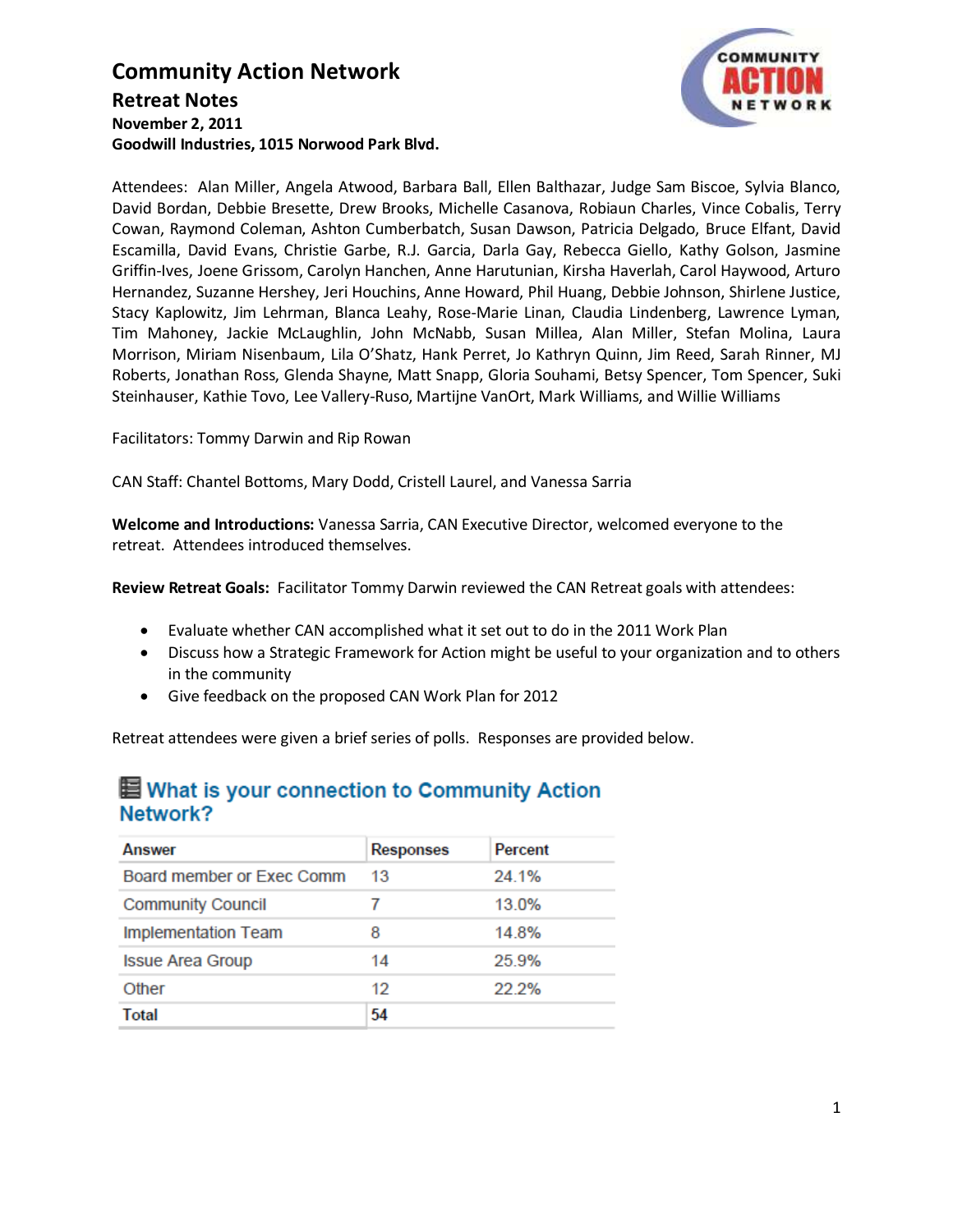### **Community Action Network Retreat Notes November 2, 2011 Goodwill Industries, 1015 Norwood Park Blvd.**



Attendees: Alan Miller, Angela Atwood, Barbara Ball, Ellen Balthazar, Judge Sam Biscoe, Sylvia Blanco, David Bordan, Debbie Bresette, Drew Brooks, Michelle Casanova, Robiaun Charles, Vince Cobalis, Terry Cowan, Raymond Coleman, Ashton Cumberbatch, Susan Dawson, Patricia Delgado, Bruce Elfant, David Escamilla, David Evans, Christie Garbe, R.J. Garcia, Darla Gay, Rebecca Giello, Kathy Golson, Jasmine Griffin-Ives, Joene Grissom, Carolyn Hanchen, Anne Harutunian, Kirsha Haverlah, Carol Haywood, Arturo Hernandez, Suzanne Hershey, Jeri Houchins, Anne Howard, Phil Huang, Debbie Johnson, Shirlene Justice, Stacy Kaplowitz, Jim Lehrman, Blanca Leahy, Rose-Marie Linan, Claudia Lindenberg, Lawrence Lyman, Tim Mahoney, Jackie McLaughlin, John McNabb, Susan Millea, Alan Miller, Stefan Molina, Laura Morrison, Miriam Nisenbaum, Lila O'Shatz, Hank Perret, Jo Kathryn Quinn, Jim Reed, Sarah Rinner, MJ Roberts, Jonathan Ross, Glenda Shayne, Matt Snapp, Gloria Souhami, Betsy Spencer, Tom Spencer, Suki Steinhauser, Kathie Tovo, Lee Vallery-Ruso, Martijne VanOrt, Mark Williams, and Willie Williams

Facilitators: Tommy Darwin and Rip Rowan

CAN Staff: Chantel Bottoms, Mary Dodd, Cristell Laurel, and Vanessa Sarria

**Welcome and Introductions:** Vanessa Sarria, CAN Executive Director, welcomed everyone to the retreat. Attendees introduced themselves.

**Review Retreat Goals:** Facilitator Tommy Darwin reviewed the CAN Retreat goals with attendees:

- Evaluate whether CAN accomplished what it set out to do in the 2011 Work Plan
- Discuss how a Strategic Framework for Action might be useful to your organization and to others in the community
- Give feedback on the proposed CAN Work Plan for 2012

Retreat attendees were given a brief series of polls. Responses are provided below.

### ■ What is your connection to Community Action Network?

| Answer                     | <b>Responses</b> | Percent |
|----------------------------|------------------|---------|
| Board member or Exec Comm  | 13               | 24.1%   |
| <b>Community Council</b>   |                  | 13.0%   |
| <b>Implementation Team</b> | 8                | 14.8%   |
| <b>Issue Area Group</b>    | 14               | 25.9%   |
| Other                      | 12               | 22.2%   |
| Total                      | 54               |         |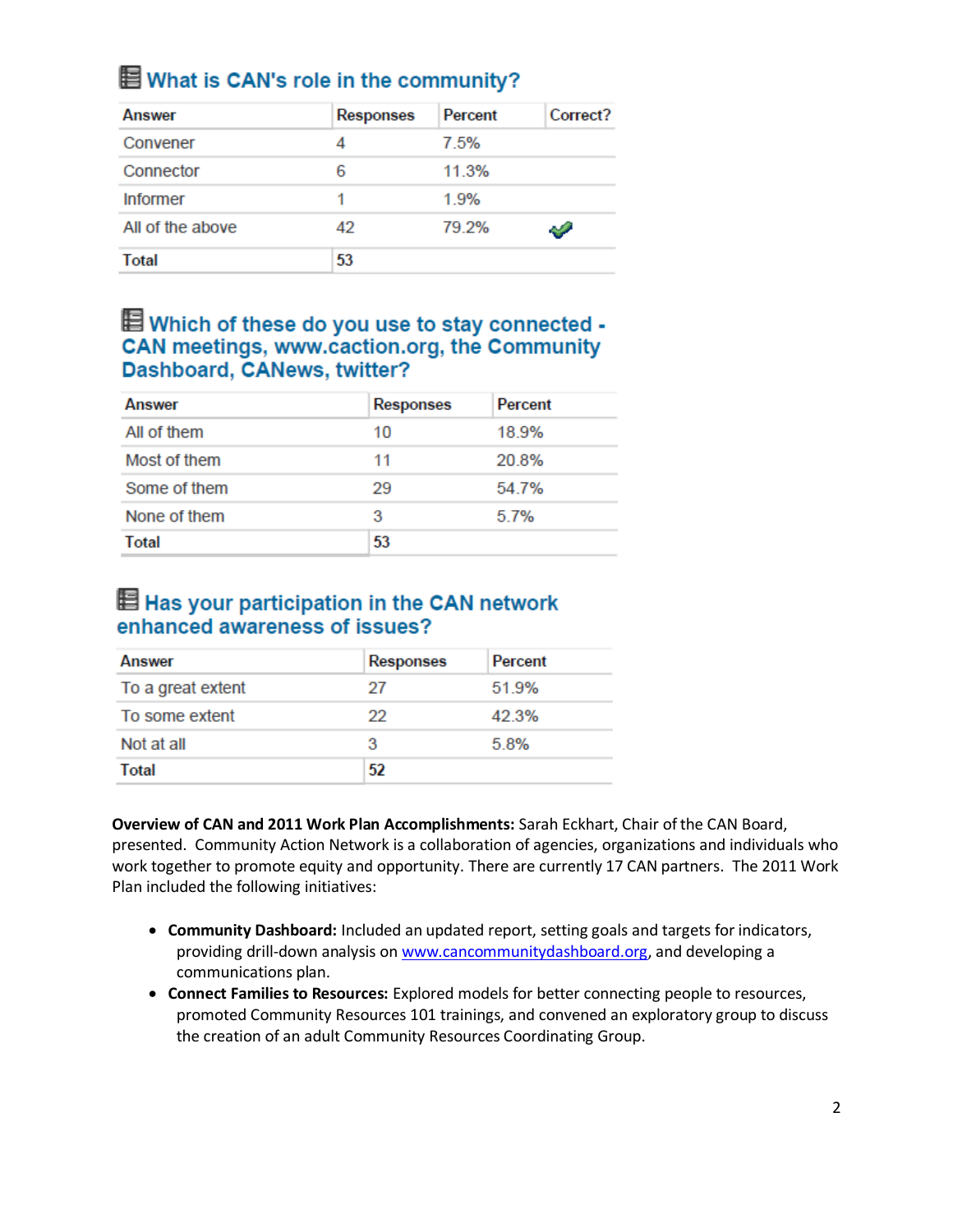# **E** What is CAN's role in the community?

| <b>Answer</b>    | <b>Responses</b> | Percent | Correct?      |
|------------------|------------------|---------|---------------|
| Convener         |                  | 7.5%    |               |
| Connector        | 6                | 11.3%   |               |
| <b>Informer</b>  |                  | 1.9%    |               |
| All of the above | 42               | 79.2%   | $\mathcal{L}$ |
| <b>Total</b>     | 53               |         |               |

## **E** Which of these do you use to stay connected -CAN meetings, www.caction.org, the Community Dashboard, CANews, twitter?

| Answer       | <b>Responses</b> | Percent |
|--------------|------------------|---------|
| All of them  | 10               | 18.9%   |
| Most of them | 11               | 20.8%   |
| Some of them | 29               | 54.7%   |
| None of them | 3                | 5.7%    |
| Total        | 53               |         |

### Has your participation in the CAN network enhanced awareness of issues?

| Answer            | <b>Responses</b> | Percent |
|-------------------|------------------|---------|
| To a great extent | 27               | 51.9%   |
| To some extent    | 22               | 42.3%   |
| Not at all        | з                | 5.8%    |
| <b>Total</b>      | 52               |         |

**Overview of CAN and 2011 Work Plan Accomplishments:** Sarah Eckhart, Chair of the CAN Board, presented. Community Action Network is a collaboration of agencies, organizations and individuals who work together to promote equity and opportunity. There are currently 17 CAN partners. The 2011 Work Plan included the following initiatives:

- **Community Dashboard:** Included an updated report, setting goals and targets for indicators, providing drill-down analysis o[n www.cancommunitydashboard.org,](http://www.cancommunitydashboard.org/) and developing a communications plan.
- **Connect Families to Resources:** Explored models for better connecting people to resources, promoted Community Resources 101 trainings, and convened an exploratory group to discuss the creation of an adult Community Resources Coordinating Group.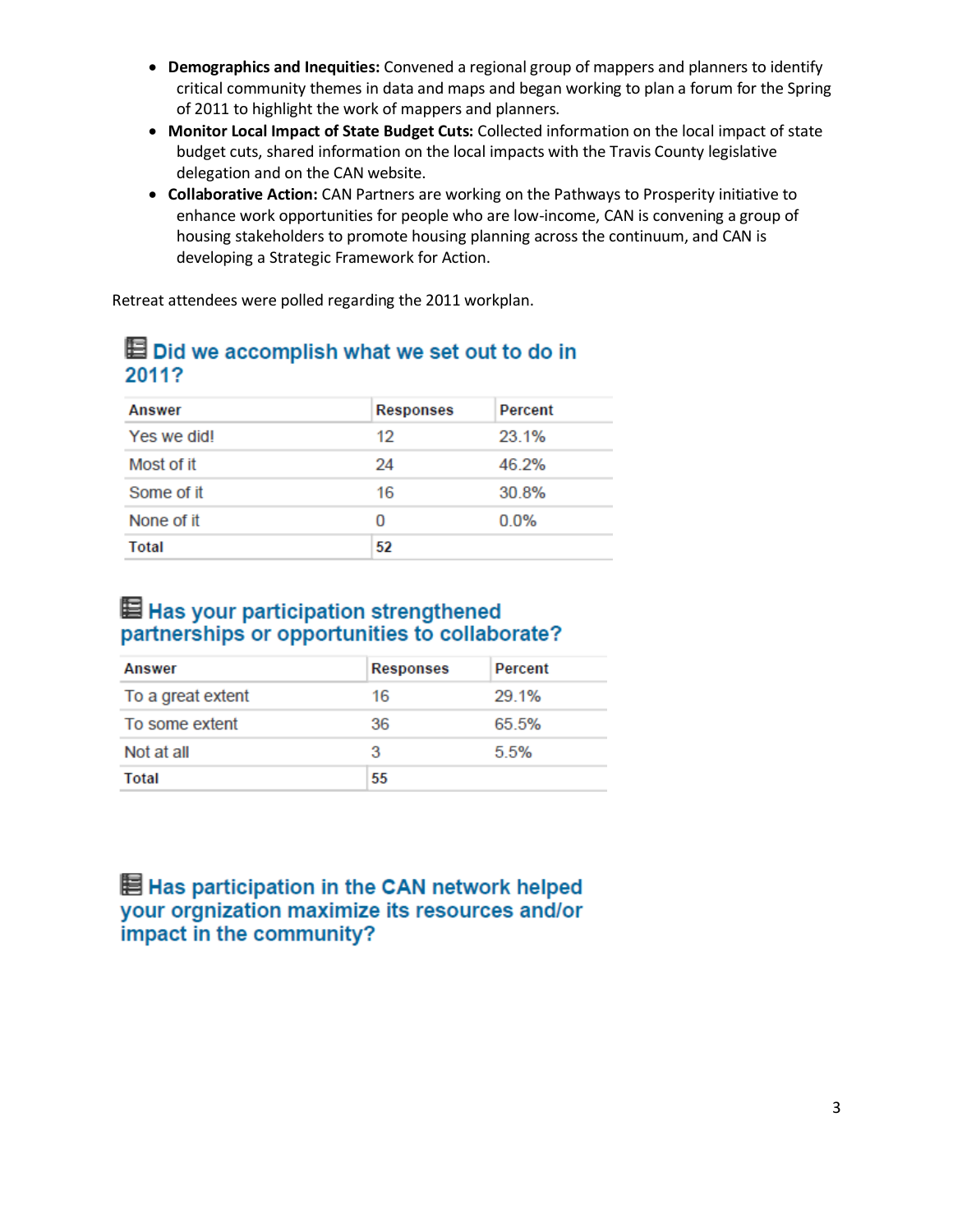- **Demographics and Inequities:** Convened a regional group of mappers and planners to identify critical community themes in data and maps and began working to plan a forum for the Spring of 2011 to highlight the work of mappers and planners.
- **Monitor Local Impact of State Budget Cuts:** Collected information on the local impact of state budget cuts, shared information on the local impacts with the Travis County legislative delegation and on the CAN website.
- **Collaborative Action:** CAN Partners are working on the Pathways to Prosperity initiative to enhance work opportunities for people who are low-income, CAN is convening a group of housing stakeholders to promote housing planning across the continuum, and CAN is developing a Strategic Framework for Action.

Retreat attendees were polled regarding the 2011 workplan.

### Did we accomplish what we set out to do in 2011?

| <b>Answer</b> | <b>Responses</b> | <b>Percent</b> |
|---------------|------------------|----------------|
| Yes we did!   | 12               | 23.1%          |
| Most of it    | 24               | 46.2%          |
| Some of it    | 16               | 30.8%          |
| None of it    | O                | $0.0\%$        |
| Total         | 52               |                |

### Has your participation strengthened partnerships or opportunities to collaborate?

| <b>Answer</b>     | <b>Responses</b> | Percent |
|-------------------|------------------|---------|
| To a great extent | 16               | 29.1%   |
| To some extent    | 36               | 65.5%   |
| Not at all        | 3                | 5.5%    |
| <b>Total</b>      | 55               |         |

目 Has participation in the CAN network helped your orgnization maximize its resources and/or impact in the community?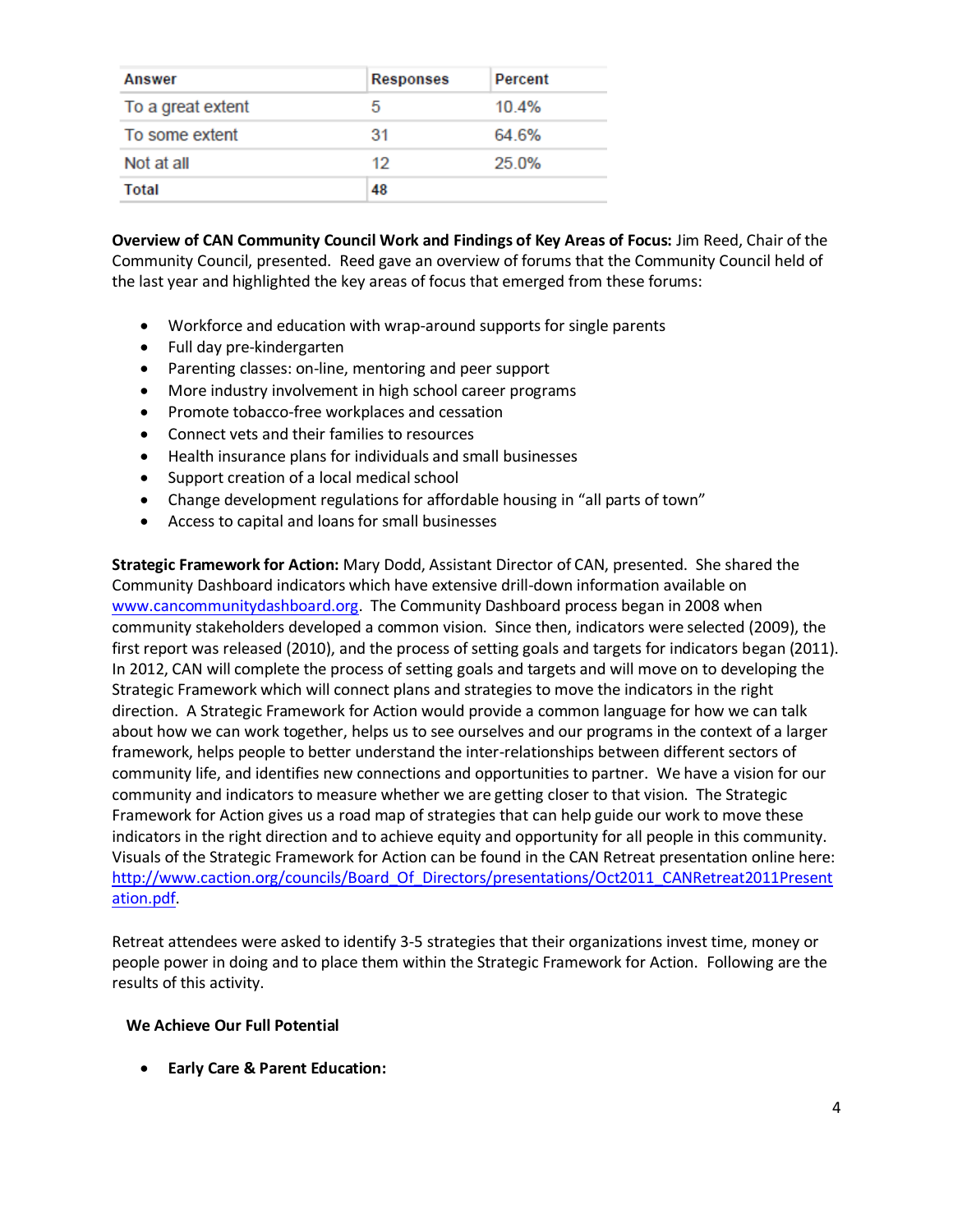| <b>Answer</b>     | <b>Responses</b> | <b>Percent</b> |
|-------------------|------------------|----------------|
| To a great extent | 5                | 10.4%          |
| To some extent    | 31               | 64.6%          |
| Not at all        | 12               | 25.0%          |
| Total             | 48               |                |

**Overview of CAN Community Council Work and Findings of Key Areas of Focus:** Jim Reed, Chair of the Community Council, presented. Reed gave an overview of forums that the Community Council held of the last year and highlighted the key areas of focus that emerged from these forums:

- Workforce and education with wrap-around supports for single parents
- Full day pre-kindergarten
- Parenting classes: on-line, mentoring and peer support
- More industry involvement in high school career programs
- Promote tobacco-free workplaces and cessation
- Connect vets and their families to resources
- Health insurance plans for individuals and small businesses
- Support creation of a local medical school
- Change development regulations for affordable housing in "all parts of town"
- Access to capital and loans for small businesses

**Strategic Framework for Action:** Mary Dodd, Assistant Director of CAN, presented. She shared the Community Dashboard indicators which have extensive drill-down information available on [www.cancommunitydashboard.org.](http://www.cancommunitydashboard.org/) The Community Dashboard process began in 2008 when community stakeholders developed a common vision. Since then, indicators were selected (2009), the first report was released (2010), and the process of setting goals and targets for indicators began (2011). In 2012, CAN will complete the process of setting goals and targets and will move on to developing the Strategic Framework which will connect plans and strategies to move the indicators in the right direction. A Strategic Framework for Action would provide a common language for how we can talk about how we can work together, helps us to see ourselves and our programs in the context of a larger framework, helps people to better understand the inter-relationships between different sectors of community life, and identifies new connections and opportunities to partner. We have a vision for our community and indicators to measure whether we are getting closer to that vision. The Strategic Framework for Action gives us a road map of strategies that can help guide our work to move these indicators in the right direction and to achieve equity and opportunity for all people in this community. Visuals of the Strategic Framework for Action can be found in the CAN Retreat presentation online here: [http://www.caction.org/councils/Board\\_Of\\_Directors/presentations/Oct2011\\_CANRetreat2011Present](http://www.caction.org/councils/Board_Of_Directors/presentations/Oct2011_CANRetreat2011Presentation.pdf) [ation.pdf.](http://www.caction.org/councils/Board_Of_Directors/presentations/Oct2011_CANRetreat2011Presentation.pdf)

Retreat attendees were asked to identify 3-5 strategies that their organizations invest time, money or people power in doing and to place them within the Strategic Framework for Action. Following are the results of this activity.

#### **We Achieve Our Full Potential**

**Early Care & Parent Education:**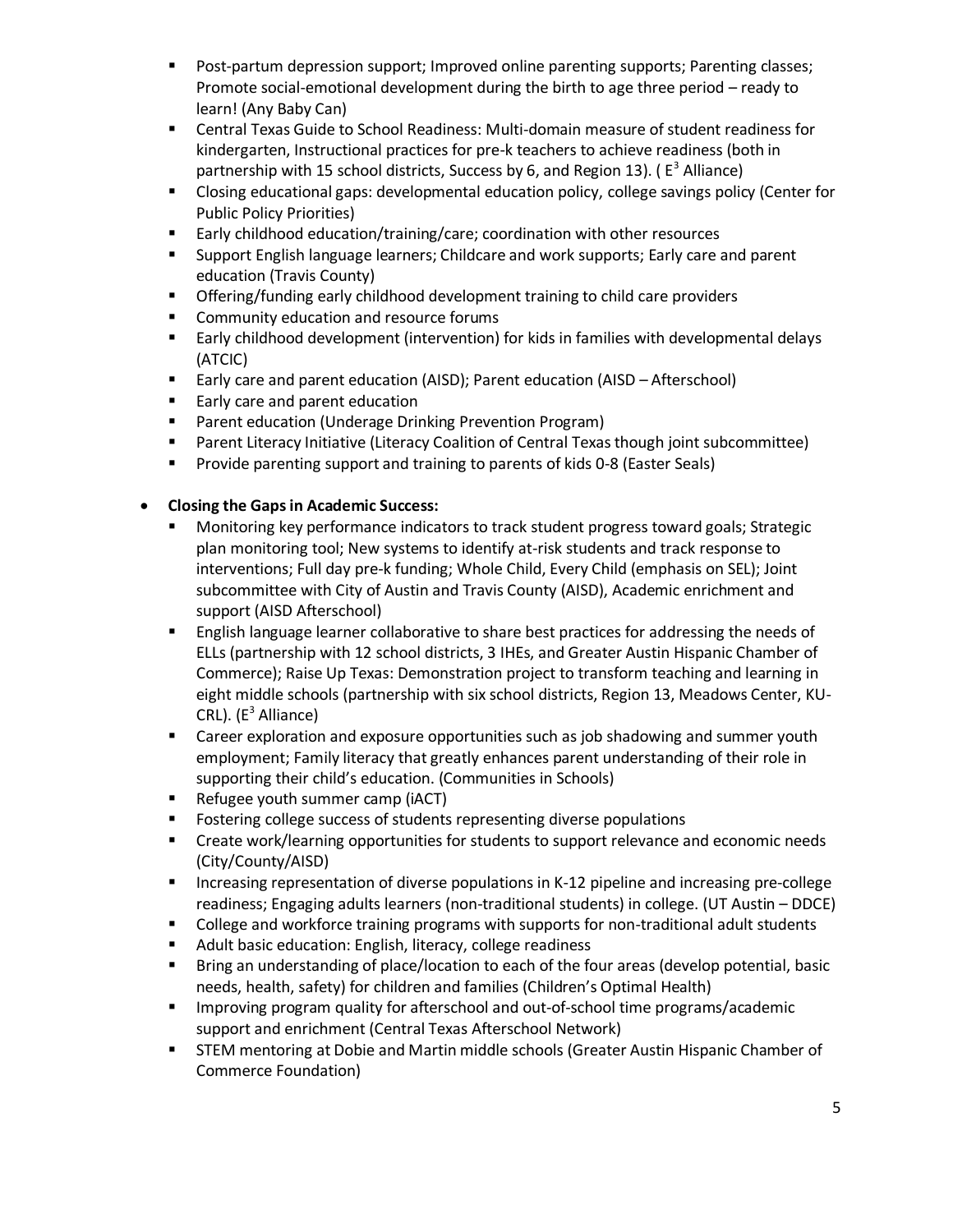- **Post-partum depression support; Improved online parenting supports; Parenting classes;** Promote social-emotional development during the birth to age three period – ready to learn! (Any Baby Can)
- Central Texas Guide to School Readiness: Multi-domain measure of student readiness for kindergarten, Instructional practices for pre-k teachers to achieve readiness (both in partnership with 15 school districts, Success by 6, and Region 13). ( $E^3$  Alliance)
- Closing educational gaps: developmental education policy, college savings policy (Center for Public Policy Priorities)
- Early childhood education/training/care; coordination with other resources
- Support English language learners; Childcare and work supports; Early care and parent education (Travis County)
- **•** Offering/funding early childhood development training to child care providers
- **EXECOMMUNITY Education and resource forums**
- Early childhood development (intervention) for kids in families with developmental delays (ATCIC)
- Early care and parent education (AISD); Parent education (AISD Afterschool)
- **Early care and parent education**
- **Parent education (Underage Drinking Prevention Program)**
- Parent Literacy Initiative (Literacy Coalition of Central Texas though joint subcommittee)
- **Provide parenting support and training to parents of kids 0-8 (Easter Seals)**

#### **Closing the Gaps in Academic Success:**

- Monitoring key performance indicators to track student progress toward goals; Strategic plan monitoring tool; New systems to identify at-risk students and track response to interventions; Full day pre-k funding; Whole Child, Every Child (emphasis on SEL); Joint subcommittee with City of Austin and Travis County (AISD), Academic enrichment and support (AISD Afterschool)
- English language learner collaborative to share best practices for addressing the needs of ELLs (partnership with 12 school districts, 3 IHEs, and Greater Austin Hispanic Chamber of Commerce); Raise Up Texas: Demonstration project to transform teaching and learning in eight middle schools (partnership with six school districts, Region 13, Meadows Center, KU-CRL). (E<sup>3</sup> Alliance)
- **EXP** Career exploration and exposure opportunities such as job shadowing and summer youth employment; Family literacy that greatly enhances parent understanding of their role in supporting their child's education. (Communities in Schools)
- **Refugee youth summer camp (iACT)**
- **FIC FOSTERING COLLEGE SUCCESS OF Students representing diverse populations**
- **EXP** Create work/learning opportunities for students to support relevance and economic needs (City/County/AISD)
- **Increasing representation of diverse populations in K-12 pipeline and increasing pre-college** readiness; Engaging adults learners (non-traditional students) in college. (UT Austin – DDCE)
- **EXP** College and workforce training programs with supports for non-traditional adult students
- Adult basic education: English, literacy, college readiness
- Bring an understanding of place/location to each of the four areas (develop potential, basic needs, health, safety) for children and families (Children's Optimal Health)
- **IMPROVING PROGRAM** THE IMPORTAGING A grad out-of-school time programs/academic support and enrichment (Central Texas Afterschool Network)
- **STEM mentoring at Dobie and Martin middle schools (Greater Austin Hispanic Chamber of** Commerce Foundation)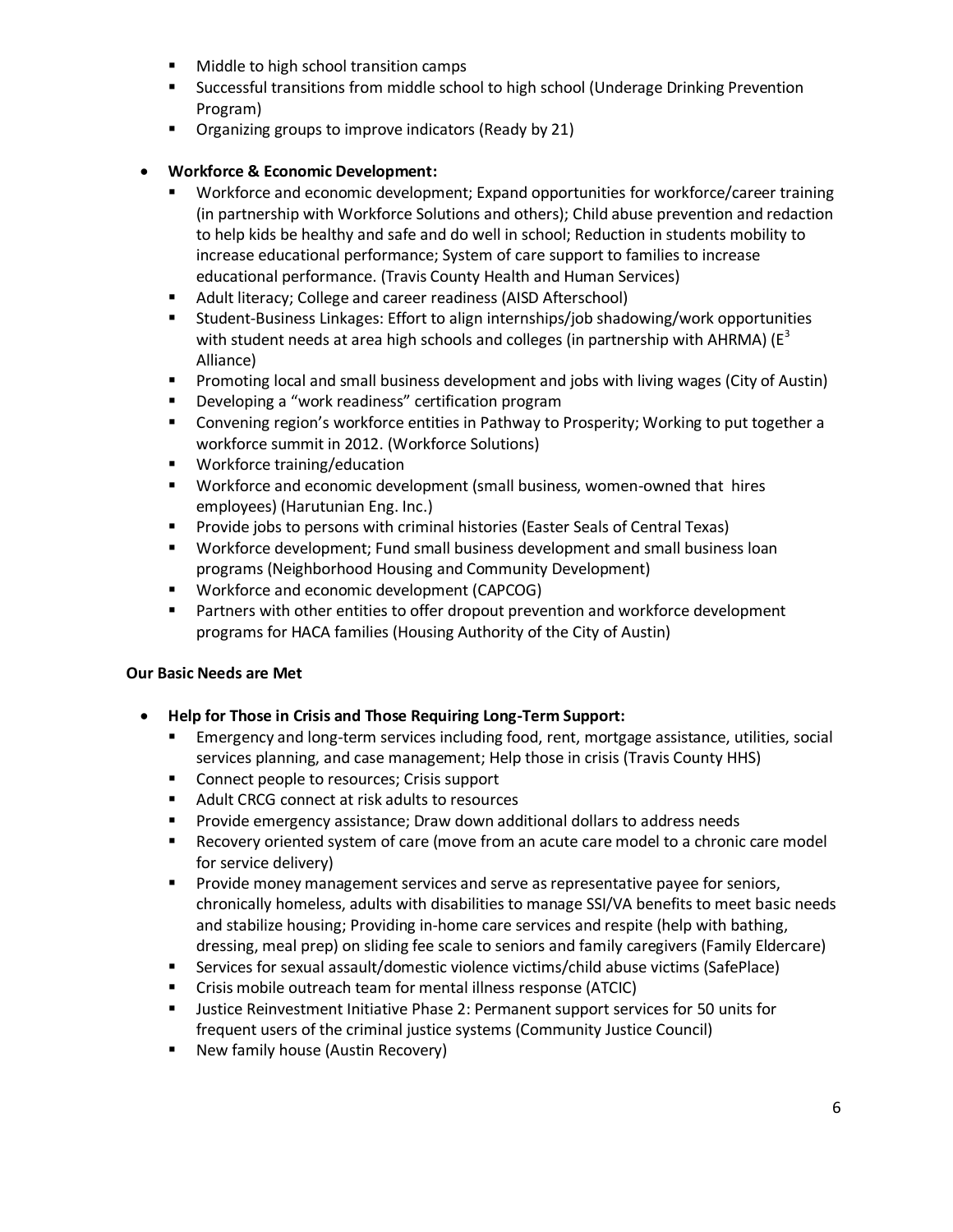- **Middle to high school transition camps**
- Successful transitions from middle school to high school (Underage Drinking Prevention Program)
- **•** Organizing groups to improve indicators (Ready by 21)

#### **Workforce & Economic Development:**

- Workforce and economic development; Expand opportunities for workforce/career training (in partnership with Workforce Solutions and others); Child abuse prevention and redaction to help kids be healthy and safe and do well in school; Reduction in students mobility to increase educational performance; System of care support to families to increase educational performance. (Travis County Health and Human Services)
- **Adult literacy; College and career readiness (AISD Afterschool)**
- Student-Business Linkages: Effort to align internships/job shadowing/work opportunities with student needs at area high schools and colleges (in partnership with AHRMA) ( $E^3$ ) Alliance)
- Promoting local and small business development and jobs with living wages (City of Austin)
- **Developing a "work readiness" certification program**
- Convening region's workforce entities in Pathway to Prosperity; Working to put together a workforce summit in 2012. (Workforce Solutions)
- **Workforce training/education**
- Workforce and economic development (small business, women-owned that hires employees) (Harutunian Eng. Inc.)
- **Provide jobs to persons with criminal histories (Easter Seals of Central Texas)**
- Workforce development; Fund small business development and small business loan programs (Neighborhood Housing and Community Development)
- **Workforce and economic development (CAPCOG)**
- Partners with other entities to offer dropout prevention and workforce development programs for HACA families (Housing Authority of the City of Austin)

#### **Our Basic Needs are Met**

- **Help for Those in Crisis and Those Requiring Long-Term Support:** 
	- Emergency and long-term services including food, rent, mortgage assistance, utilities, social services planning, and case management; Help those in crisis (Travis County HHS)
	- **Connect people to resources; Crisis support**
	- Adult CRCG connect at risk adults to resources
	- **Provide emergency assistance; Draw down additional dollars to address needs**
	- Recovery oriented system of care (move from an acute care model to a chronic care model for service delivery)
	- **Provide money management services and serve as representative payee for seniors,** chronically homeless, adults with disabilities to manage SSI/VA benefits to meet basic needs and stabilize housing; Providing in-home care services and respite (help with bathing, dressing, meal prep) on sliding fee scale to seniors and family caregivers (Family Eldercare)
	- Services for sexual assault/domestic violence victims/child abuse victims (SafePlace)
	- Crisis mobile outreach team for mental illness response (ATCIC)
	- Justice Reinvestment Initiative Phase 2: Permanent support services for 50 units for frequent users of the criminal justice systems (Community Justice Council)
	- **New family house (Austin Recovery)**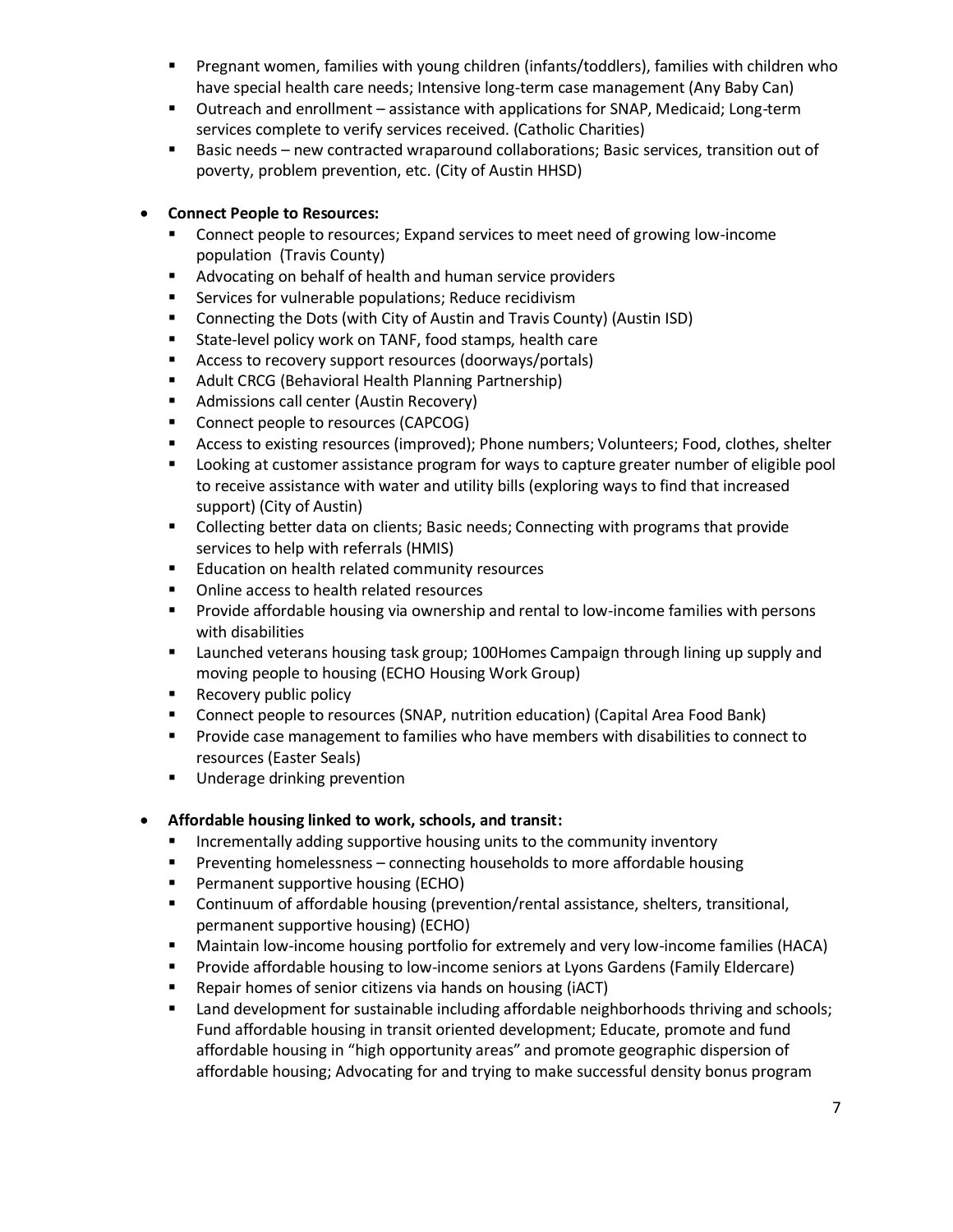- Pregnant women, families with young children (infants/toddlers), families with children who have special health care needs; Intensive long-term case management (Any Baby Can)
- Outreach and enrollment assistance with applications for SNAP, Medicaid; Long-term services complete to verify services received. (Catholic Charities)
- Basic needs new contracted wraparound collaborations; Basic services, transition out of poverty, problem prevention, etc. (City of Austin HHSD)

#### **Connect People to Resources:**

- Connect people to resources; Expand services to meet need of growing low-income population (Travis County)
- Advocating on behalf of health and human service providers
- **EXECT** Services for vulnerable populations; Reduce recidivism
- Connecting the Dots (with City of Austin and Travis County) (Austin ISD)
- State-level policy work on TANF, food stamps, health care
- Access to recovery support resources (doorways/portals)
- **Adult CRCG (Behavioral Health Planning Partnership)**
- **Admissions call center (Austin Recovery)**
- Connect people to resources (CAPCOG)
- Access to existing resources (improved); Phone numbers; Volunteers; Food, clothes, shelter
- Looking at customer assistance program for ways to capture greater number of eligible pool to receive assistance with water and utility bills (exploring ways to find that increased support) (City of Austin)
- **Collecting better data on clients; Basic needs; Connecting with programs that provide** services to help with referrals (HMIS)
- **Education on health related community resources**
- **•** Online access to health related resources
- Provide affordable housing via ownership and rental to low-income families with persons with disabilities
- Launched veterans housing task group; 100Homes Campaign through lining up supply and moving people to housing (ECHO Housing Work Group)
- **Recovery public policy**
- Connect people to resources (SNAP, nutrition education) (Capital Area Food Bank)
- **Provide case management to families who have members with disabilities to connect to** resources (Easter Seals)
- **Underage drinking prevention**

#### **Affordable housing linked to work, schools, and transit:**

- **Incrementally adding supportive housing units to the community inventory**
- **Preventing homelessness connecting households to more affordable housing**
- **Permanent supportive housing (ECHO)**
- Continuum of affordable housing (prevention/rental assistance, shelters, transitional, permanent supportive housing) (ECHO)
- Maintain low-income housing portfolio for extremely and very low-income families (HACA)
- **Provide affordable housing to low-income seniors at Lyons Gardens (Family Eldercare)**
- Repair homes of senior citizens via hands on housing (iACT)
- **EXECT** Land development for sustainable including affordable neighborhoods thriving and schools; Fund affordable housing in transit oriented development; Educate, promote and fund affordable housing in "high opportunity areas" and promote geographic dispersion of affordable housing; Advocating for and trying to make successful density bonus program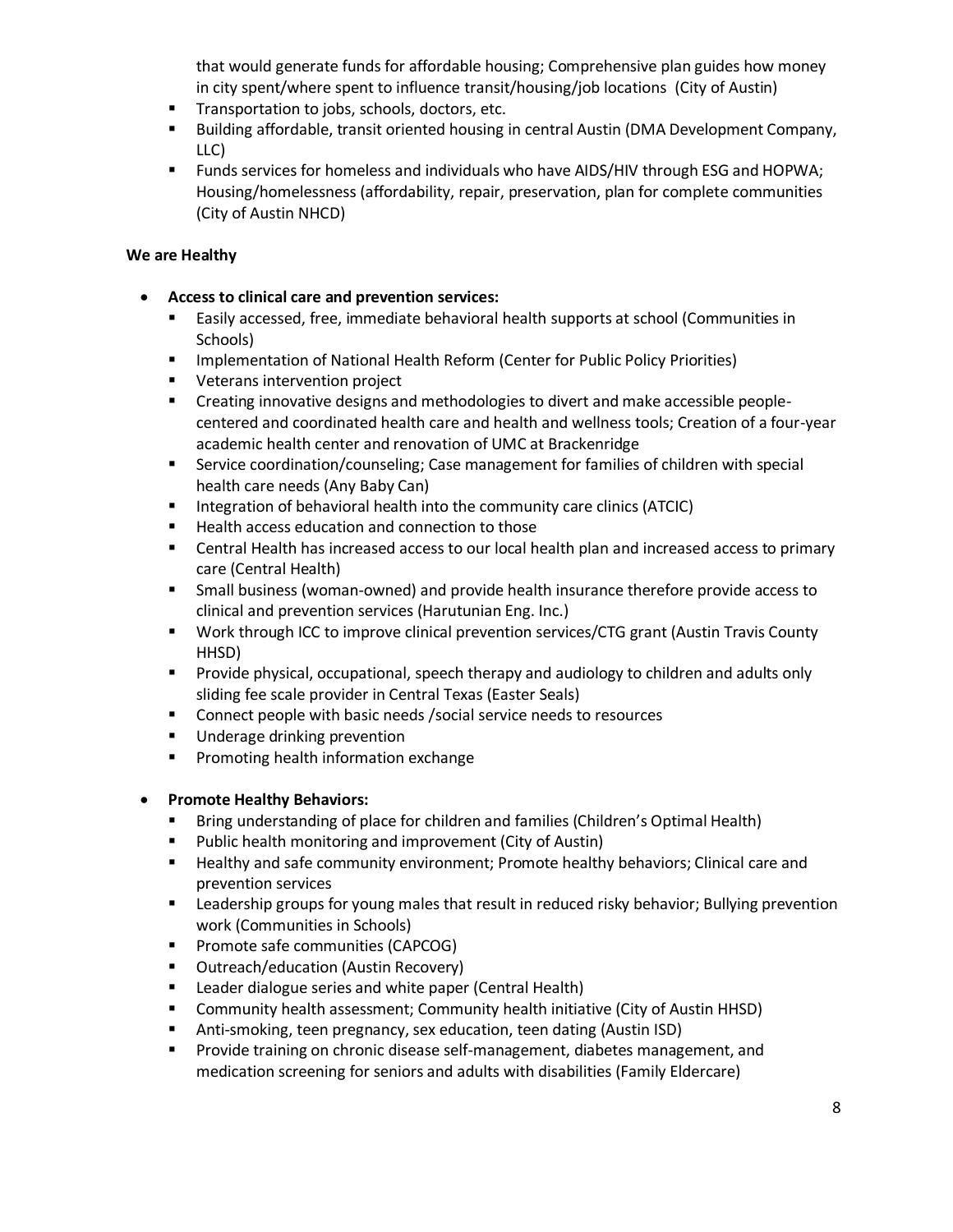that would generate funds for affordable housing; Comprehensive plan guides how money in city spent/where spent to influence transit/housing/job locations (City of Austin)

- **Transportation to jobs, schools, doctors, etc.**
- Building affordable, transit oriented housing in central Austin (DMA Development Company, LLC)
- **Funds services for homeless and individuals who have AIDS/HIV through ESG and HOPWA;** Housing/homelessness (affordability, repair, preservation, plan for complete communities (City of Austin NHCD)

#### **We are Healthy**

- **Access to clinical care and prevention services:** 
	- Easily accessed, free, immediate behavioral health supports at school (Communities in Schools)
	- Implementation of National Health Reform (Center for Public Policy Priorities)
	- **UPIER Veterans intervention project**
	- Creating innovative designs and methodologies to divert and make accessible peoplecentered and coordinated health care and health and wellness tools; Creation of a four-year academic health center and renovation of UMC at Brackenridge
	- Service coordination/counseling; Case management for families of children with special health care needs (Any Baby Can)
	- **Integration of behavioral health into the community care clinics (ATCIC)**
	- Health access education and connection to those
	- Central Health has increased access to our local health plan and increased access to primary care (Central Health)
	- Small business (woman-owned) and provide health insurance therefore provide access to clinical and prevention services (Harutunian Eng. Inc.)
	- Work through ICC to improve clinical prevention services/CTG grant (Austin Travis County HHSD)
	- **Provide physical, occupational, speech therapy and audiology to children and adults only** sliding fee scale provider in Central Texas (Easter Seals)
	- **Connect people with basic needs / social service needs to resources**
	- **Underage drinking prevention**
	- **Promoting health information exchange**

#### **Promote Healthy Behaviors:**

- **Bring understanding of place for children and families (Children's Optimal Health)**
- **Public health monitoring and improvement (City of Austin)**
- Healthy and safe community environment; Promote healthy behaviors; Clinical care and prevention services
- **EXECT ADDET FOR THE INTER THE VERGIVE THE VERGIVE THAT IS EXECT** FOR PREVENTION **F** Leadership grevention work (Communities in Schools)
- **Promote safe communities (CAPCOG)**
- **Dutreach/education (Austin Recovery)**
- **E** Leader dialogue series and white paper (Central Health)
- Community health assessment; Community health initiative (City of Austin HHSD)
- Anti-smoking, teen pregnancy, sex education, teen dating (Austin ISD)
- **Provide training on chronic disease self-management, diabetes management, and** medication screening for seniors and adults with disabilities (Family Eldercare)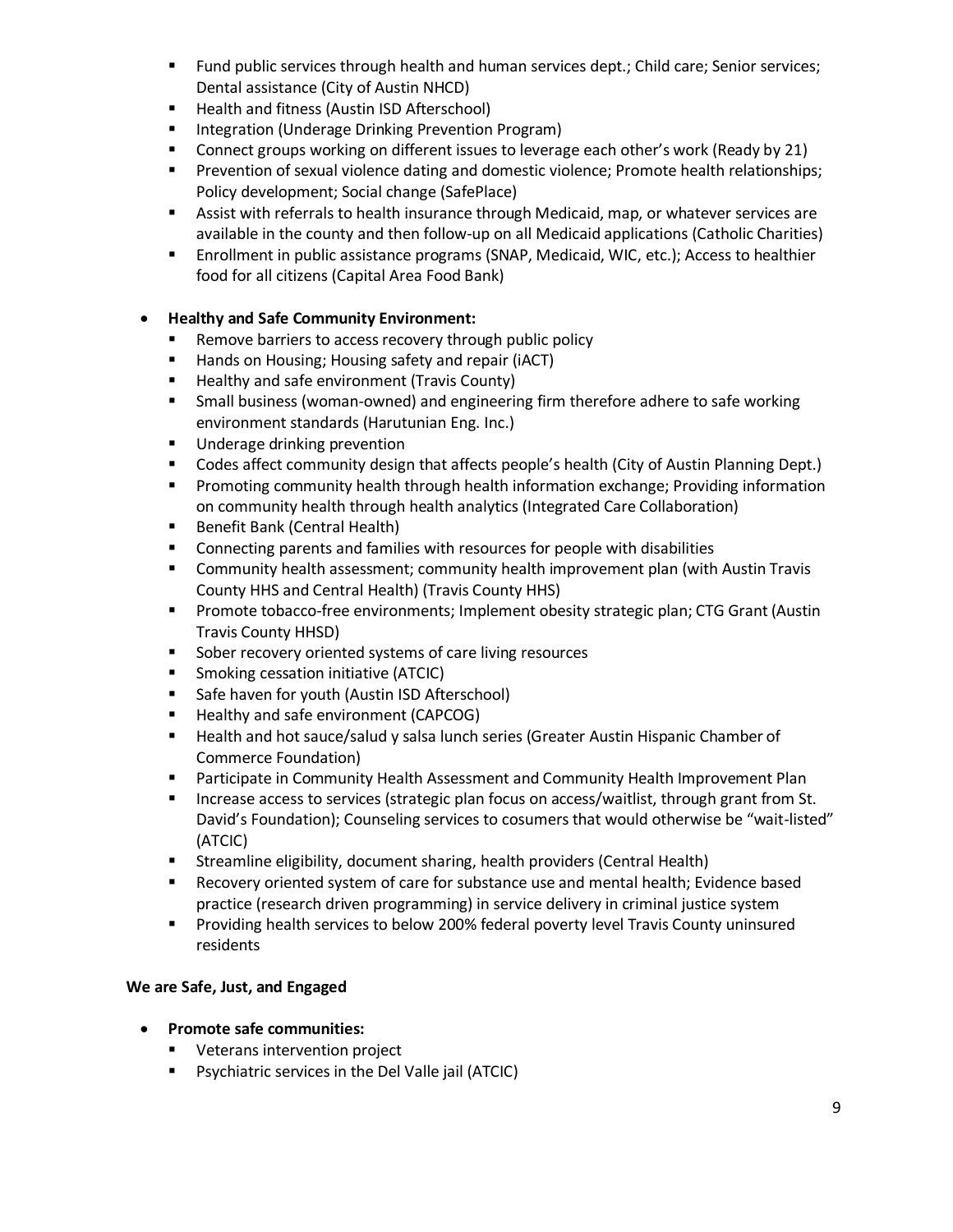- **Fund public services through health and human services dept.; Child care; Senior services;** Dental assistance (City of Austin NHCD)
- **Health and fitness (Austin ISD Afterschool)**
- **Integration (Underage Drinking Prevention Program)**
- **Connect groups working on different issues to leverage each other's work (Ready by 21)**
- **Prevention of sexual violence dating and domestic violence; Promote health relationships;** Policy development; Social change (SafePlace)
- **Assist with referrals to health insurance through Medicaid, map, or whatever services are** available in the county and then follow-up on all Medicaid applications (Catholic Charities)
- Enrollment in public assistance programs (SNAP, Medicaid, WIC, etc.); Access to healthier food for all citizens (Capital Area Food Bank)

#### **Healthy and Safe Community Environment:**

- **Remove barriers to access recovery through public policy**
- Hands on Housing; Housing safety and repair (iACT)
- **Healthy and safe environment (Travis County)**
- **F** Small business (woman-owned) and engineering firm therefore adhere to safe working environment standards (Harutunian Eng. Inc.)
- **Underage drinking prevention**
- **Codes affect community design that affects people's health (City of Austin Planning Dept.)**
- **Promoting community health through health information exchange; Providing information** on community health through health analytics (Integrated Care Collaboration)
- **Benefit Bank (Central Health)**
- **EXECONNET CONNECTING PARTMS AND FAMILY CONNECTIVE SHOW FIGURE** Connecting parents and families
- Community health assessment; community health improvement plan (with Austin Travis County HHS and Central Health) (Travis County HHS)
- Promote tobacco-free environments; Implement obesity strategic plan; CTG Grant (Austin Travis County HHSD)
- **Sober recovery oriented systems of care living resources**
- **Smoking cessation initiative (ATCIC)**
- **Safe haven for youth (Austin ISD Afterschool)**
- **Healthy and safe environment (CAPCOG)**
- **Health and hot sauce/salud y salsa lunch series (Greater Austin Hispanic Chamber of** Commerce Foundation)
- **Participate in Community Health Assessment and Community Health Improvement Plan**
- **Increase access to services (strategic plan focus on access/waitlist, through grant from St.** David's Foundation); Counseling services to cosumers that would otherwise be "wait-listed" (ATCIC)
- Streamline eligibility, document sharing, health providers (Central Health)
- Recovery oriented system of care for substance use and mental health; Evidence based practice (research driven programming) in service delivery in criminal justice system
- **Providing health services to below 200% federal poverty level Travis County uninsured** residents

#### **We are Safe, Just, and Engaged**

- **Promote safe communities:** 
	- **Veterans intervention project**
	- Psychiatric services in the Del Valle jail (ATCIC)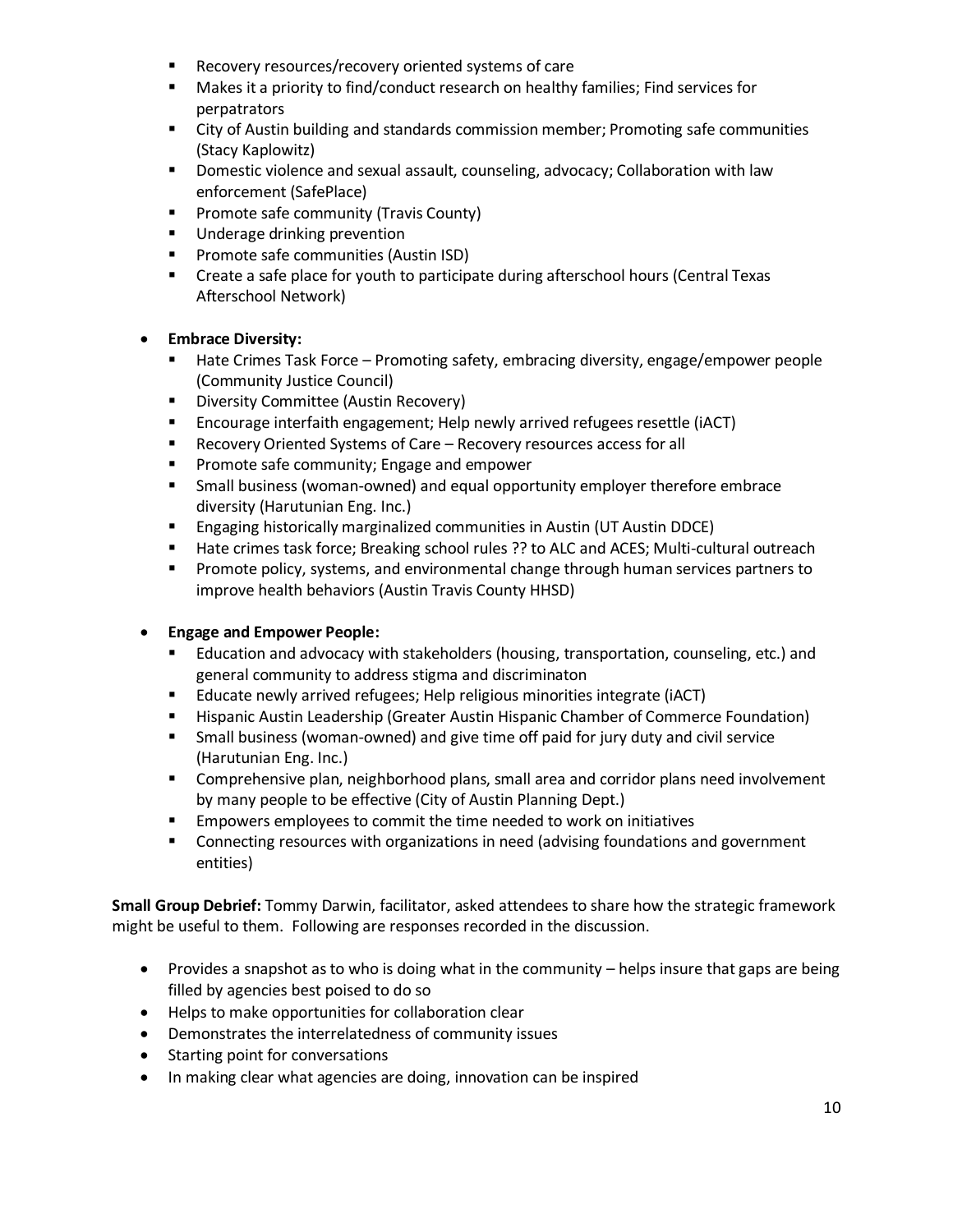- **Recovery resources/recovery oriented systems of care**
- Makes it a priority to find/conduct research on healthy families; Find services for perpatrators
- City of Austin building and standards commission member; Promoting safe communities (Stacy Kaplowitz)
- **Domestic violence and sexual assault, counseling, advocacy; Collaboration with law** enforcement (SafePlace)
- **Promote safe community (Travis County)**
- **Underage drinking prevention**
- **Promote safe communities (Austin ISD)**
- Create a safe place for youth to participate during afterschool hours (Central Texas Afterschool Network)

#### **Embrace Diversity:**

- Hate Crimes Task Force Promoting safety, embracing diversity, engage/empower people (Community Justice Council)
- **Diversity Committee (Austin Recovery)**
- Encourage interfaith engagement; Help newly arrived refugees resettle (iACT)
- Recovery Oriented Systems of Care Recovery resources access for all
- **Promote safe community; Engage and empower**
- Small business (woman-owned) and equal opportunity employer therefore embrace diversity (Harutunian Eng. Inc.)
- Engaging historically marginalized communities in Austin (UT Austin DDCE)
- **Hate crimes task force; Breaking school rules ?? to ALC and ACES; Multi-cultural outreach**
- **Promote policy, systems, and environmental change through human services partners to** improve health behaviors (Austin Travis County HHSD)

#### **Engage and Empower People:**

- Education and advocacy with stakeholders (housing, transportation, counseling, etc.) and general community to address stigma and discriminaton
- Educate newly arrived refugees; Help religious minorities integrate (iACT)
- **Hispanic Austin Leadership (Greater Austin Hispanic Chamber of Commerce Foundation)**
- Small business (woman-owned) and give time off paid for jury duty and civil service (Harutunian Eng. Inc.)
- **Comprehensive plan, neighborhood plans, small area and corridor plans need involvement** by many people to be effective (City of Austin Planning Dept.)
- **EMPOWERS EMPLOYERS TO COMMIT THE THE THE THE EMPLOYER FIG.** Empowers employees to commit the time needed to work on initiatives
- Connecting resources with organizations in need (advising foundations and government entities)

**Small Group Debrief:** Tommy Darwin, facilitator, asked attendees to share how the strategic framework might be useful to them. Following are responses recorded in the discussion.

- Provides a snapshot as to who is doing what in the community helps insure that gaps are being filled by agencies best poised to do so
- Helps to make opportunities for collaboration clear
- Demonstrates the interrelatedness of community issues
- Starting point for conversations
- In making clear what agencies are doing, innovation can be inspired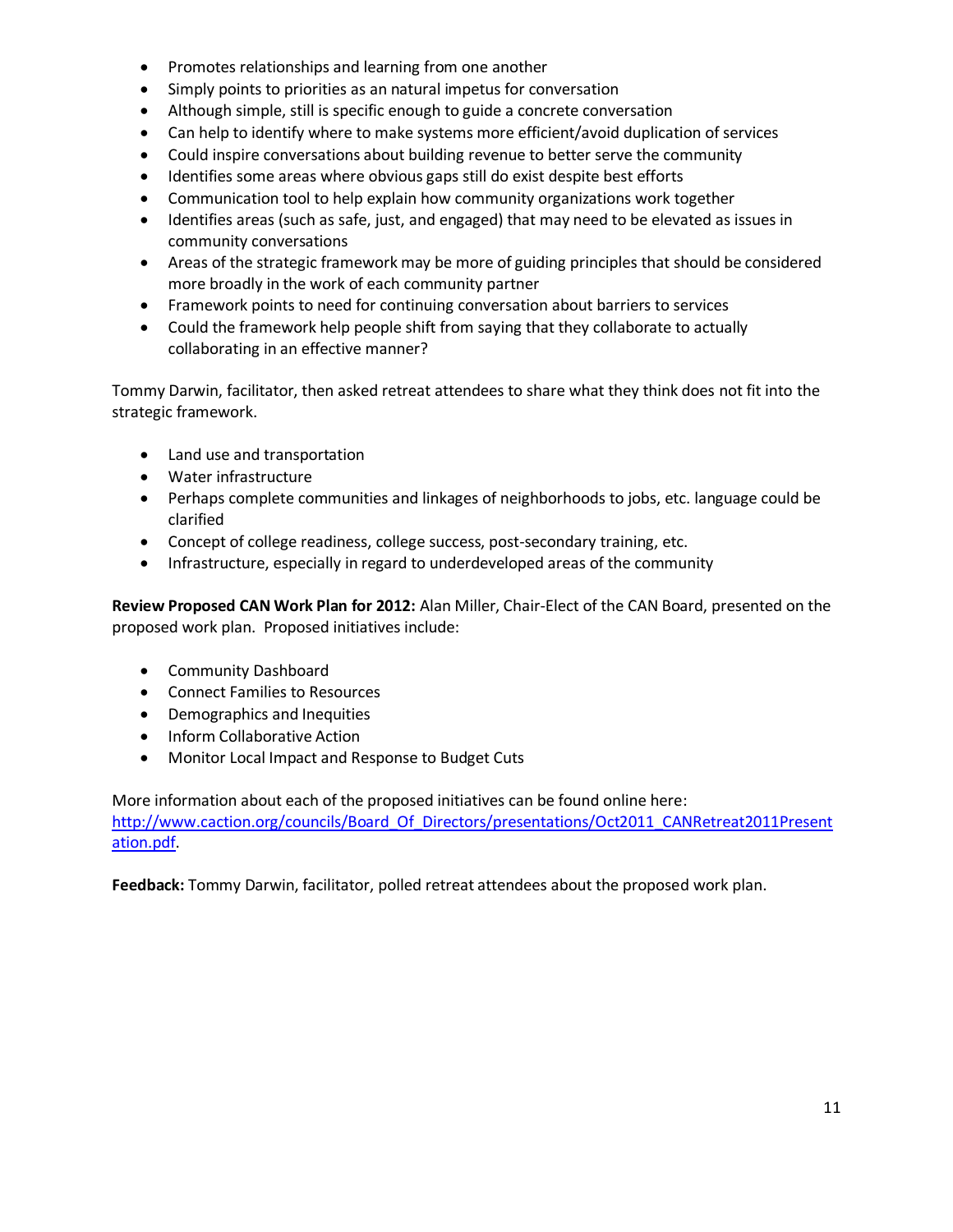- Promotes relationships and learning from one another
- Simply points to priorities as an natural impetus for conversation
- Although simple, still is specific enough to guide a concrete conversation
- Can help to identify where to make systems more efficient/avoid duplication of services
- Could inspire conversations about building revenue to better serve the community
- Identifies some areas where obvious gaps still do exist despite best efforts
- Communication tool to help explain how community organizations work together
- Identifies areas (such as safe, just, and engaged) that may need to be elevated as issues in community conversations
- Areas of the strategic framework may be more of guiding principles that should be considered more broadly in the work of each community partner
- Framework points to need for continuing conversation about barriers to services
- Could the framework help people shift from saying that they collaborate to actually collaborating in an effective manner?

Tommy Darwin, facilitator, then asked retreat attendees to share what they think does not fit into the strategic framework.

- Land use and transportation
- Water infrastructure
- Perhaps complete communities and linkages of neighborhoods to jobs, etc. language could be clarified
- Concept of college readiness, college success, post-secondary training, etc.
- Infrastructure, especially in regard to underdeveloped areas of the community

**Review Proposed CAN Work Plan for 2012:** Alan Miller, Chair-Elect of the CAN Board, presented on the proposed work plan. Proposed initiatives include:

- Community Dashboard
- Connect Families to Resources
- Demographics and Inequities
- **•** Inform Collaborative Action
- Monitor Local Impact and Response to Budget Cuts

More information about each of the proposed initiatives can be found online here: http://www.caction.org/councils/Board Of Directors/presentations/Oct2011 CANRetreat2011Present [ation.pdf.](http://www.caction.org/councils/Board_Of_Directors/presentations/Oct2011_CANRetreat2011Presentation.pdf)

**Feedback:** Tommy Darwin, facilitator, polled retreat attendees about the proposed work plan.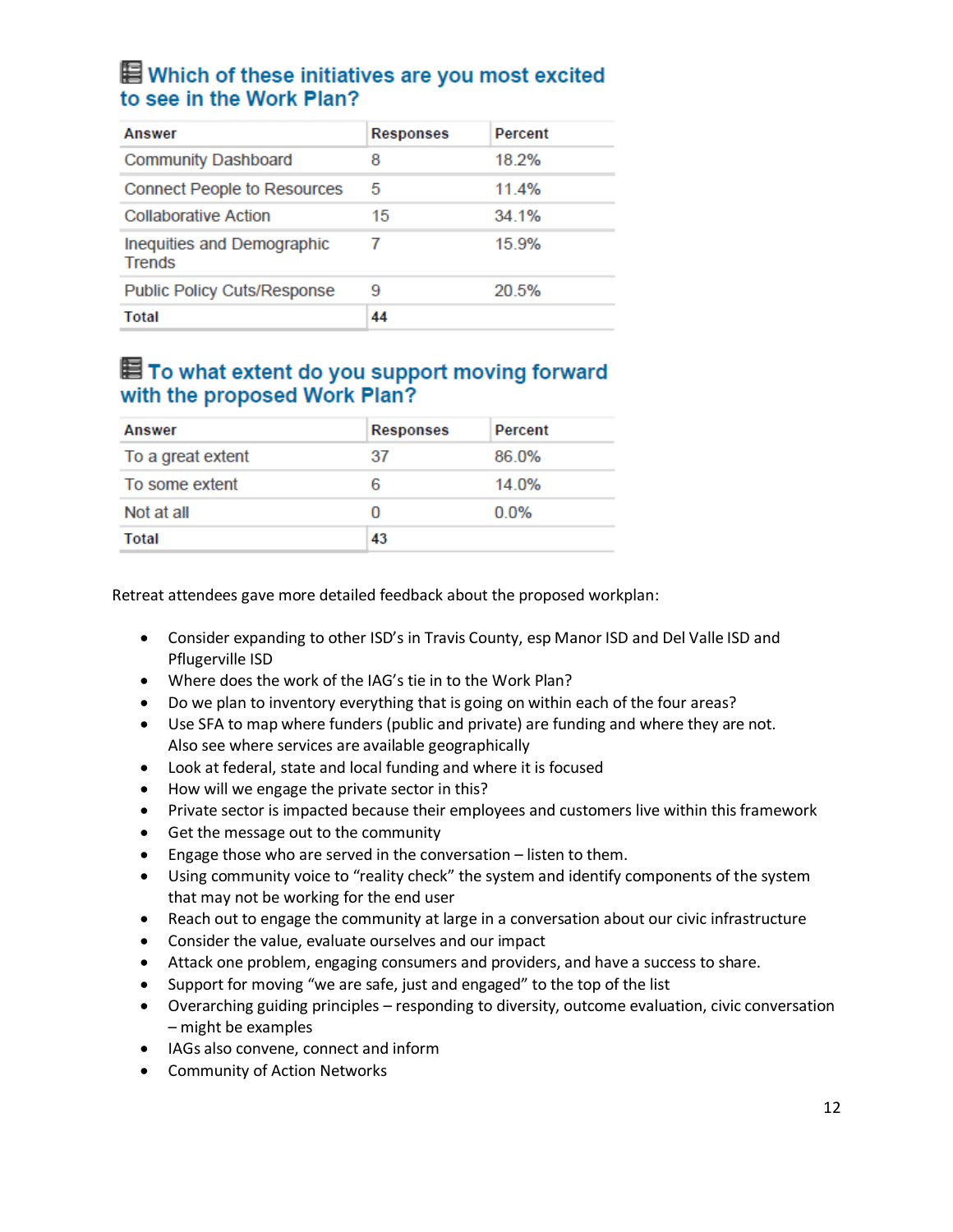### ■ Which of these initiatives are you most excited to see in the Work Plan?

| <b>Answer</b>                               | <b>Responses</b> | Percent |
|---------------------------------------------|------------------|---------|
| <b>Community Dashboard</b>                  | 8                | 18.2%   |
| <b>Connect People to Resources</b>          | 5                | 11.4%   |
| <b>Collaborative Action</b>                 | 15               | 34 1%   |
| Inequities and Demographic<br><b>Trends</b> | 7                | 15.9%   |
| <b>Public Policy Cuts/Response</b>          | 9                | 20.5%   |
| Total                                       | 44               |         |

### 图 To what extent do you support moving forward with the proposed Work Plan?

| <b>Answer</b>     | <b>Responses</b> | Percent |
|-------------------|------------------|---------|
| To a great extent | 37               | 86.0%   |
| To some extent    | 6                | 14.0%   |
| Not at all        |                  | $0.0\%$ |
| <b>Total</b>      | 43               |         |

Retreat attendees gave more detailed feedback about the proposed workplan:

- Consider expanding to other ISD's in Travis County, esp Manor ISD and Del Valle ISD and Pflugerville ISD
- Where does the work of the IAG's tie in to the Work Plan?
- Do we plan to inventory everything that is going on within each of the four areas?
- Use SFA to map where funders (public and private) are funding and where they are not. Also see where services are available geographically
- Look at federal, state and local funding and where it is focused
- How will we engage the private sector in this?
- Private sector is impacted because their employees and customers live within this framework
- Get the message out to the community
- Engage those who are served in the conversation listen to them.
- Using community voice to "reality check" the system and identify components of the system that may not be working for the end user
- Reach out to engage the community at large in a conversation about our civic infrastructure
- Consider the value, evaluate ourselves and our impact
- Attack one problem, engaging consumers and providers, and have a success to share.
- Support for moving "we are safe, just and engaged" to the top of the list
- Overarching guiding principles responding to diversity, outcome evaluation, civic conversation – might be examples
- IAGs also convene, connect and inform
- Community of Action Networks